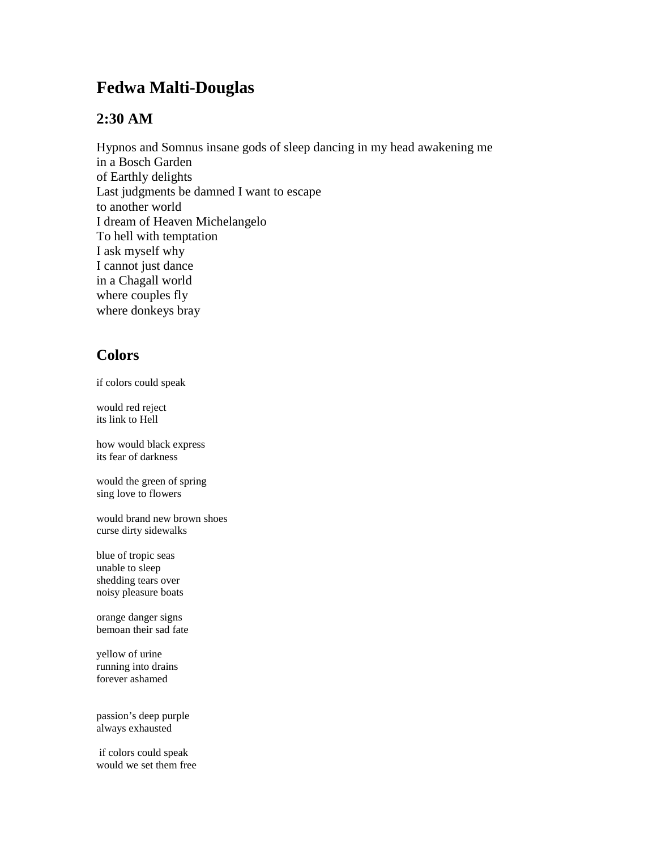## **Fedwa Malti-Douglas**

## **2:30 AM**

Hypnos and Somnus insane gods of sleep dancing in my head awakening me in a Bosch Garden of Earthly delights Last judgments be damned I want to escape to another world I dream of Heaven Michelangelo To hell with temptation I ask myself why I cannot just dance in a Chagall world where couples fly where donkeys bray

## **Colors**

if colors could speak

would red reject its link to Hell

how would black express its fear of darkness

would the green of spring sing love to flowers

would brand new brown shoes curse dirty sidewalks

blue of tropic seas unable to sleep shedding tears over noisy pleasure boats

orange danger signs bemoan their sad fate

yellow of urine running into drains forever ashamed

passion's deep purple always exhausted

if colors could speak would we set them free